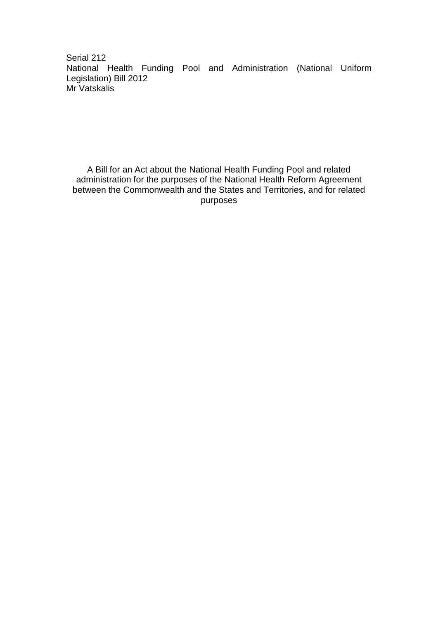Serial 212 National Health Funding Pool and Administration (National Uniform Legislation) Bill 2012 Mr Vatskalis

A Bill for an Act about the National Health Funding Pool and related administration for the purposes of the National Health Reform Agreement between the Commonwealth and the States and Territories, and for related purposes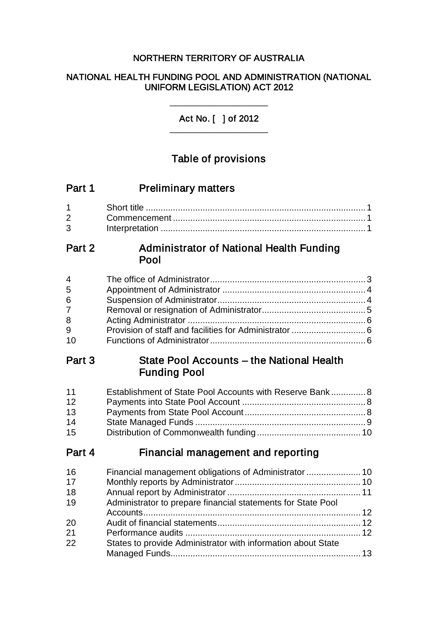## NORTHERN TERRITORY OF AUSTRALIA

### NATIONAL HEALTH FUNDING POOL AND ADMINISTRATION (NATIONAL UNIFORM LEGISLATION) ACT 2012

Act No. [ ] of 2012 \_\_\_\_\_\_\_\_\_\_\_\_\_\_\_\_\_\_\_\_

\_\_\_\_\_\_\_\_\_\_\_\_\_\_\_\_\_\_\_\_

# Table of provisions

| Part 1                                                              | <b>Preliminary matters</b>                       |  |
|---------------------------------------------------------------------|--------------------------------------------------|--|
| $\mathbf 1$<br>$\overline{2}$<br>3                                  |                                                  |  |
| Part 2                                                              | Administrator of National Health Funding<br>Pool |  |
| $\overline{\mathbf{4}}$<br>5<br>6<br>$\overline{7}$<br>8<br>9<br>10 |                                                  |  |

# Part 3 State Pool Accounts – the National Health Funding Pool

| 11 | Establishment of State Pool Accounts with Reserve Bank 8 |  |
|----|----------------------------------------------------------|--|
| 12 |                                                          |  |
| 13 |                                                          |  |
| 14 |                                                          |  |
| 15 |                                                          |  |

# Part 4 Financial management and reporting

| 16 |                                                              |  |
|----|--------------------------------------------------------------|--|
| 17 |                                                              |  |
| 18 |                                                              |  |
| 19 | Administrator to prepare financial statements for State Pool |  |
|    |                                                              |  |
| 20 |                                                              |  |
| 21 |                                                              |  |
| 22 | States to provide Administrator with information about State |  |
|    |                                                              |  |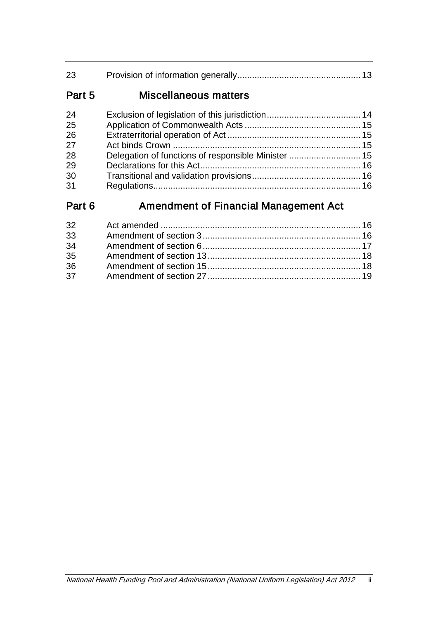| 23     |                                                     |  |
|--------|-----------------------------------------------------|--|
| Part 5 | Miscellaneous matters                               |  |
| 24     |                                                     |  |
| 25     |                                                     |  |
| 26     |                                                     |  |
| 27     |                                                     |  |
| 28     | Delegation of functions of responsible Minister  15 |  |

| 29 |  |
|----|--|
| 30 |  |
| 31 |  |

# Part 6 **Amendment of Financial Management Act**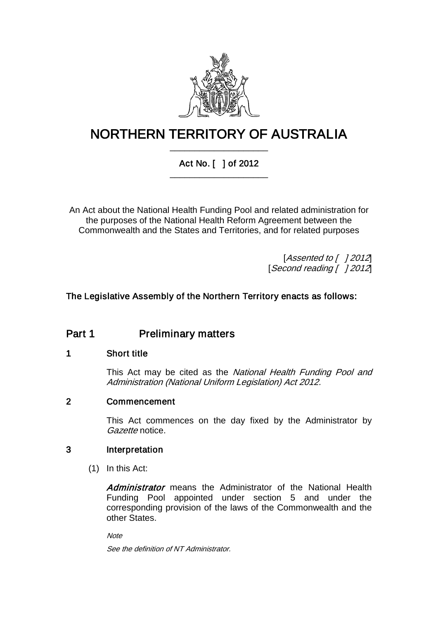

# NORTHERN TERRITORY OF AUSTRALIA \_\_\_\_\_\_\_\_\_\_\_\_\_\_\_\_\_\_\_\_

## Act No. [ ] of 2012 \_\_\_\_\_\_\_\_\_\_\_\_\_\_\_\_\_\_\_\_

An Act about the National Health Funding Pool and related administration for the purposes of the National Health Reform Agreement between the Commonwealth and the States and Territories, and for related purposes

> [*Assented to* [ *] 2012*] [Second reading [ ] 2012]

### The Legislative Assembly of the Northern Territory enacts as follows:

# Part 1 **Preliminary matters**

### 1 Short title

This Act may be cited as the National Health Funding Pool and Administration (National Uniform Legislation) Act 2012.

### 2 Commencement

This Act commences on the day fixed by the Administrator by Gazette notice.

### 3 Interpretation

(1) In this Act:

Administrator means the Administrator of the National Health Funding Pool appointed under section 5 and under the corresponding provision of the laws of the Commonwealth and the other States.

**Note** 

See the definition of NT Administrator.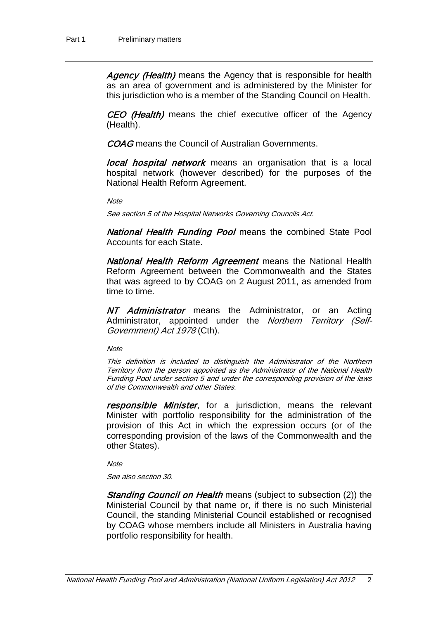Agency (Health) means the Agency that is responsible for health as an area of government and is administered by the Minister for this jurisdiction who is a member of the Standing Council on Health.

CEO (Health) means the chief executive officer of the Agency (Health).

COAG means the Council of Australian Governments.

**local hospital network** means an organisation that is a local hospital network (however described) for the purposes of the National Health Reform Agreement.

**Note** 

See section 5 of the Hospital Networks Governing Councils Act.

National Health Funding Pool means the combined State Pool Accounts for each State.

National Health Reform Agreement means the National Health Reform Agreement between the Commonwealth and the States that was agreed to by COAG on 2 August 2011, as amended from time to time.

NT Administrator means the Administrator, or an Acting Administrator, appointed under the Northern Territory (Self-Government) Act 1978 (Cth).

**Note** 

This definition is included to distinguish the Administrator of the Northern Territory from the person appointed as the Administrator of the National Health Funding Pool under sectio[n 5](#page-6-0) and under the corresponding provision of the laws of the Commonwealth and other States.

responsible Minister, for a jurisdiction, means the relevant Minister with portfolio responsibility for the administration of the provision of this Act in which the expression occurs (or of the corresponding provision of the laws of the Commonwealth and the other States).

**Note** 

See also section 30.

Standing Council on Health means (subject to subsection (2)) the Ministerial Council by that name or, if there is no such Ministerial Council, the standing Ministerial Council established or recognised by COAG whose members include all Ministers in Australia having portfolio responsibility for health.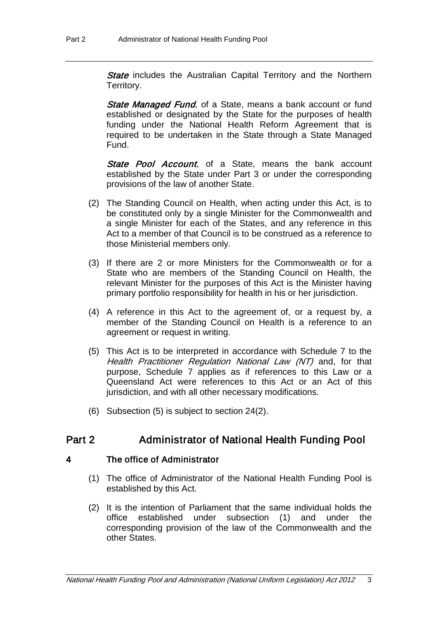**State** includes the Australian Capital Territory and the Northern Territory.

**State Managed Fund, of a State, means a bank account or fund** established or designated by the State for the purposes of health funding under the National Health Reform Agreement that is required to be undertaken in the State through a State Managed Fund.

State Pool Account, of a State, means the bank account established by the State under Part 3 or under the corresponding provisions of the law of another State.

- (2) The Standing Council on Health, when acting under this Act, is to be constituted only by a single Minister for the Commonwealth and a single Minister for each of the States, and any reference in this Act to a member of that Council is to be construed as a reference to those Ministerial members only.
- (3) If there are 2 or more Ministers for the Commonwealth or for a State who are members of the Standing Council on Health, the relevant Minister for the purposes of this Act is the Minister having primary portfolio responsibility for health in his or her jurisdiction.
- (4) A reference in this Act to the agreement of, or a request by, a member of the Standing Council on Health is a reference to an agreement or request in writing.
- (5) This Act is to be interpreted in accordance with Schedule 7 to the Health Practitioner Regulation National Law (NT) and, for that purpose, Schedule 7 applies as if references to this Law or a Queensland Act were references to this Act or an Act of this jurisdiction, and with all other necessary modifications.
- (6) Subsection (5) is subject to section 24(2).

# Part 2 Administrator of National Health Funding Pool

### 4 The office of Administrator

- (1) The office of Administrator of the National Health Funding Pool is established by this Act.
- (2) It is the intention of Parliament that the same individual holds the office established under subsection (1) and under the corresponding provision of the law of the Commonwealth and the other States.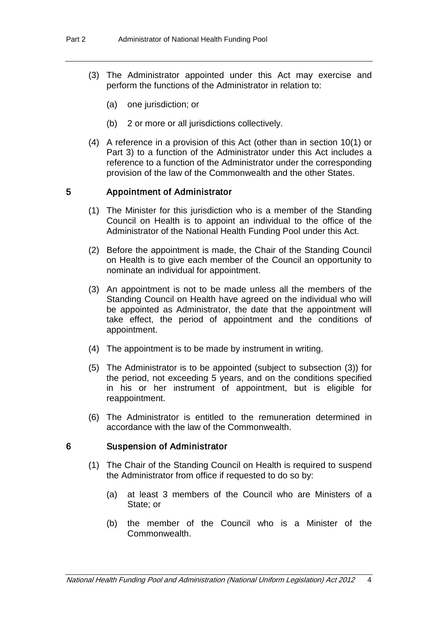- (3) The Administrator appointed under this Act may exercise and perform the functions of the Administrator in relation to:
	- (a) one jurisdiction; or
	- (b) 2 or more or all jurisdictions collectively.
- (4) A reference in a provision of this Act (other than in section 10(1) or Part 3) to a function of the Administrator under this Act includes a reference to a function of the Administrator under the corresponding provision of the law of the Commonwealth and the other States.

### <span id="page-6-0"></span>5 Appointment of Administrator

- (1) The Minister for this jurisdiction who is a member of the Standing Council on Health is to appoint an individual to the office of the Administrator of the National Health Funding Pool under this Act.
- (2) Before the appointment is made, the Chair of the Standing Council on Health is to give each member of the Council an opportunity to nominate an individual for appointment.
- (3) An appointment is not to be made unless all the members of the Standing Council on Health have agreed on the individual who will be appointed as Administrator, the date that the appointment will take effect, the period of appointment and the conditions of appointment.
- (4) The appointment is to be made by instrument in writing.
- (5) The Administrator is to be appointed (subject to subsection (3)) for the period, not exceeding 5 years, and on the conditions specified in his or her instrument of appointment, but is eligible for reappointment.
- (6) The Administrator is entitled to the remuneration determined in accordance with the law of the Commonwealth.

#### 6 Suspension of Administrator

- (1) The Chair of the Standing Council on Health is required to suspend the Administrator from office if requested to do so by:
	- (a) at least 3 members of the Council who are Ministers of a State; or
	- (b) the member of the Council who is a Minister of the Commonwealth.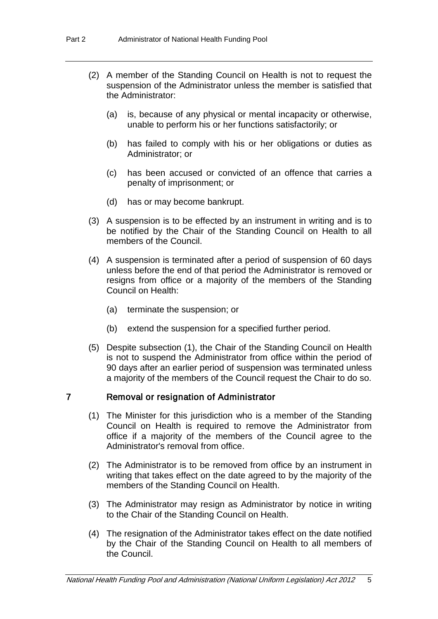- (2) A member of the Standing Council on Health is not to request the suspension of the Administrator unless the member is satisfied that the Administrator:
	- (a) is, because of any physical or mental incapacity or otherwise, unable to perform his or her functions satisfactorily; or
	- (b) has failed to comply with his or her obligations or duties as Administrator; or
	- (c) has been accused or convicted of an offence that carries a penalty of imprisonment; or
	- (d) has or may become bankrupt.
- (3) A suspension is to be effected by an instrument in writing and is to be notified by the Chair of the Standing Council on Health to all members of the Council.
- (4) A suspension is terminated after a period of suspension of 60 days unless before the end of that period the Administrator is removed or resigns from office or a majority of the members of the Standing Council on Health:
	- (a) terminate the suspension; or
	- (b) extend the suspension for a specified further period.
- (5) Despite subsection (1), the Chair of the Standing Council on Health is not to suspend the Administrator from office within the period of 90 days after an earlier period of suspension was terminated unless a majority of the members of the Council request the Chair to do so.

### 7 Removal or resignation of Administrator

- (1) The Minister for this jurisdiction who is a member of the Standing Council on Health is required to remove the Administrator from office if a majority of the members of the Council agree to the Administrator's removal from office.
- (2) The Administrator is to be removed from office by an instrument in writing that takes effect on the date agreed to by the majority of the members of the Standing Council on Health.
- (3) The Administrator may resign as Administrator by notice in writing to the Chair of the Standing Council on Health.
- (4) The resignation of the Administrator takes effect on the date notified by the Chair of the Standing Council on Health to all members of the Council.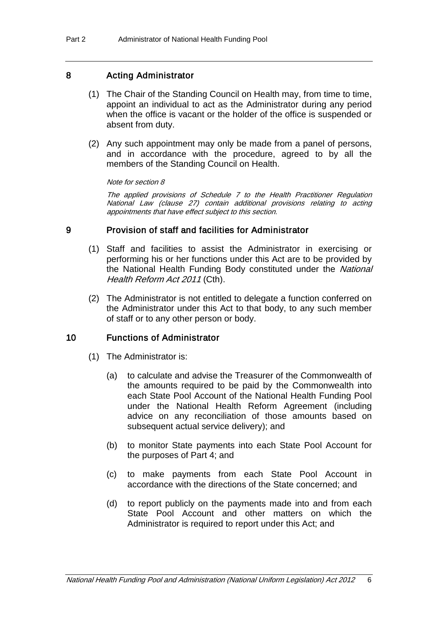### 8 Acting Administrator

- (1) The Chair of the Standing Council on Health may, from time to time, appoint an individual to act as the Administrator during any period when the office is vacant or the holder of the office is suspended or absent from duty.
- (2) Any such appointment may only be made from a panel of persons, and in accordance with the procedure, agreed to by all the members of the Standing Council on Health.

Note for section 8

The applied provisions of Schedule 7 to the Health Practitioner Regulation National Law (clause 27) contain additional provisions relating to acting appointments that have effect subject to this section.

### 9 Provision of staff and facilities for Administrator

- (1) Staff and facilities to assist the Administrator in exercising or performing his or her functions under this Act are to be provided by the National Health Funding Body constituted under the National Health Reform Act 2011 (Cth).
- (2) The Administrator is not entitled to delegate a function conferred on the Administrator under this Act to that body, to any such member of staff or to any other person or body.

### 10 Functions of Administrator

- (1) The Administrator is:
	- (a) to calculate and advise the Treasurer of the Commonwealth of the amounts required to be paid by the Commonwealth into each State Pool Account of the National Health Funding Pool under the National Health Reform Agreement (including advice on any reconciliation of those amounts based on subsequent actual service delivery); and
	- (b) to monitor State payments into each State Pool Account for the purposes of Part 4; and
	- (c) to make payments from each State Pool Account in accordance with the directions of the State concerned; and
	- (d) to report publicly on the payments made into and from each State Pool Account and other matters on which the Administrator is required to report under this Act; and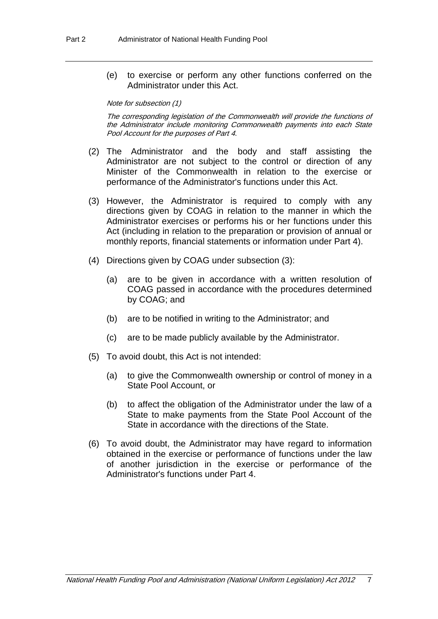(e) to exercise or perform any other functions conferred on the Administrator under this Act.

#### Note for subsection (1)

The corresponding legislation of the Commonwealth will provide the functions of the Administrator include monitoring Commonwealth payments into each State Pool Account for the purposes of Part 4.

- (2) The Administrator and the body and staff assisting the Administrator are not subject to the control or direction of any Minister of the Commonwealth in relation to the exercise or performance of the Administrator's functions under this Act.
- (3) However, the Administrator is required to comply with any directions given by COAG in relation to the manner in which the Administrator exercises or performs his or her functions under this Act (including in relation to the preparation or provision of annual or monthly reports, financial statements or information under Part 4).
- (4) Directions given by COAG under subsection (3):
	- (a) are to be given in accordance with a written resolution of COAG passed in accordance with the procedures determined by COAG; and
	- (b) are to be notified in writing to the Administrator; and
	- (c) are to be made publicly available by the Administrator.
- (5) To avoid doubt, this Act is not intended:
	- (a) to give the Commonwealth ownership or control of money in a State Pool Account, or
	- (b) to affect the obligation of the Administrator under the law of a State to make payments from the State Pool Account of the State in accordance with the directions of the State.
- (6) To avoid doubt, the Administrator may have regard to information obtained in the exercise or performance of functions under the law of another jurisdiction in the exercise or performance of the Administrator's functions under Part 4.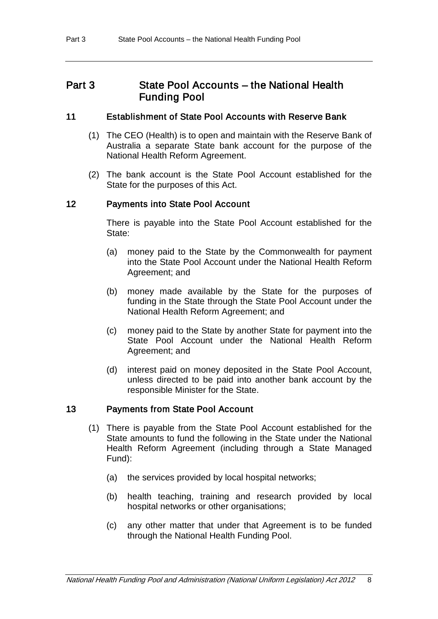## Part 3 State Pool Accounts – the National Health Funding Pool

### 11 Establishment of State Pool Accounts with Reserve Bank

- (1) The CEO (Health) is to open and maintain with the Reserve Bank of Australia a separate State bank account for the purpose of the National Health Reform Agreement.
- (2) The bank account is the State Pool Account established for the State for the purposes of this Act.

### 12 Payments into State Pool Account

There is payable into the State Pool Account established for the State:

- (a) money paid to the State by the Commonwealth for payment into the State Pool Account under the National Health Reform Agreement; and
- (b) money made available by the State for the purposes of funding in the State through the State Pool Account under the National Health Reform Agreement; and
- (c) money paid to the State by another State for payment into the State Pool Account under the National Health Reform Agreement: and
- (d) interest paid on money deposited in the State Pool Account, unless directed to be paid into another bank account by the responsible Minister for the State.

### 13 Payments from State Pool Account

- (1) There is payable from the State Pool Account established for the State amounts to fund the following in the State under the National Health Reform Agreement (including through a State Managed Fund):
	- (a) the services provided by local hospital networks;
	- (b) health teaching, training and research provided by local hospital networks or other organisations;
	- (c) any other matter that under that Agreement is to be funded through the National Health Funding Pool.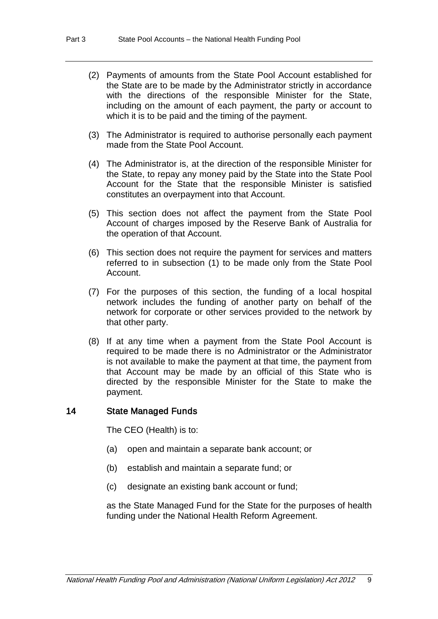- (2) Payments of amounts from the State Pool Account established for the State are to be made by the Administrator strictly in accordance with the directions of the responsible Minister for the State, including on the amount of each payment, the party or account to which it is to be paid and the timing of the payment.
- (3) The Administrator is required to authorise personally each payment made from the State Pool Account.
- (4) The Administrator is, at the direction of the responsible Minister for the State, to repay any money paid by the State into the State Pool Account for the State that the responsible Minister is satisfied constitutes an overpayment into that Account.
- (5) This section does not affect the payment from the State Pool Account of charges imposed by the Reserve Bank of Australia for the operation of that Account.
- (6) This section does not require the payment for services and matters referred to in subsection (1) to be made only from the State Pool Account.
- (7) For the purposes of this section, the funding of a local hospital network includes the funding of another party on behalf of the network for corporate or other services provided to the network by that other party.
- (8) If at any time when a payment from the State Pool Account is required to be made there is no Administrator or the Administrator is not available to make the payment at that time, the payment from that Account may be made by an official of this State who is directed by the responsible Minister for the State to make the payment.

#### 14 State Managed Funds

The CEO (Health) is to:

- (a) open and maintain a separate bank account; or
- (b) establish and maintain a separate fund; or
- (c) designate an existing bank account or fund;

as the State Managed Fund for the State for the purposes of health funding under the National Health Reform Agreement.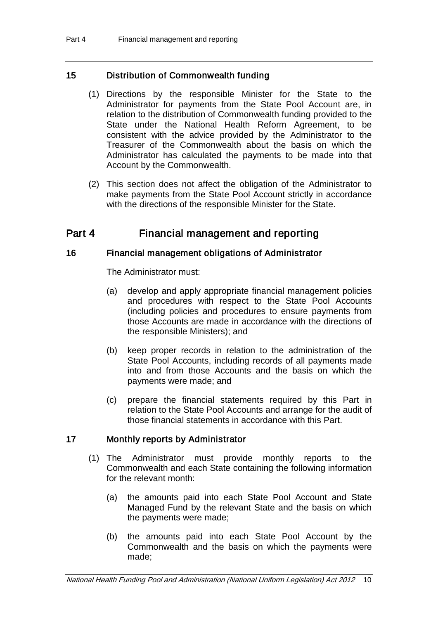### 15 Distribution of Commonwealth funding

- (1) Directions by the responsible Minister for the State to the Administrator for payments from the State Pool Account are, in relation to the distribution of Commonwealth funding provided to the State under the National Health Reform Agreement, to be consistent with the advice provided by the Administrator to the Treasurer of the Commonwealth about the basis on which the Administrator has calculated the payments to be made into that Account by the Commonwealth.
- (2) This section does not affect the obligation of the Administrator to make payments from the State Pool Account strictly in accordance with the directions of the responsible Minister for the State.

# Part 4 Financial management and reporting

### 16 Financial management obligations of Administrator

The Administrator must:

- (a) develop and apply appropriate financial management policies and procedures with respect to the State Pool Accounts (including policies and procedures to ensure payments from those Accounts are made in accordance with the directions of the responsible Ministers); and
- (b) keep proper records in relation to the administration of the State Pool Accounts, including records of all payments made into and from those Accounts and the basis on which the payments were made; and
- (c) prepare the financial statements required by this Part in relation to the State Pool Accounts and arrange for the audit of those financial statements in accordance with this Part.

### 17 Monthly reports by Administrator

- (1) The Administrator must provide monthly reports to the Commonwealth and each State containing the following information for the relevant month:
	- (a) the amounts paid into each State Pool Account and State Managed Fund by the relevant State and the basis on which the payments were made;
	- (b) the amounts paid into each State Pool Account by the Commonwealth and the basis on which the payments were made;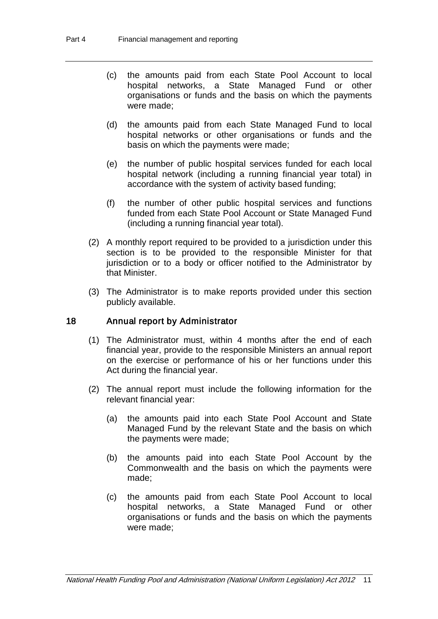- (c) the amounts paid from each State Pool Account to local hospital networks, a State Managed Fund or other organisations or funds and the basis on which the payments were made;
- (d) the amounts paid from each State Managed Fund to local hospital networks or other organisations or funds and the basis on which the payments were made;
- (e) the number of public hospital services funded for each local hospital network (including a running financial year total) in accordance with the system of activity based funding;
- (f) the number of other public hospital services and functions funded from each State Pool Account or State Managed Fund (including a running financial year total).
- (2) A monthly report required to be provided to a jurisdiction under this section is to be provided to the responsible Minister for that jurisdiction or to a body or officer notified to the Administrator by that Minister.
- (3) The Administrator is to make reports provided under this section publicly available.

### 18 Annual report by Administrator

- (1) The Administrator must, within 4 months after the end of each financial year, provide to the responsible Ministers an annual report on the exercise or performance of his or her functions under this Act during the financial year.
- (2) The annual report must include the following information for the relevant financial year:
	- (a) the amounts paid into each State Pool Account and State Managed Fund by the relevant State and the basis on which the payments were made;
	- (b) the amounts paid into each State Pool Account by the Commonwealth and the basis on which the payments were made;
	- (c) the amounts paid from each State Pool Account to local hospital networks, a State Managed Fund or other organisations or funds and the basis on which the payments were made;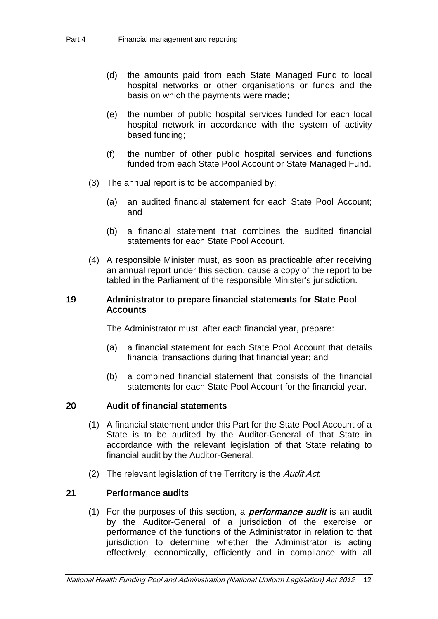- (d) the amounts paid from each State Managed Fund to local hospital networks or other organisations or funds and the basis on which the payments were made;
- (e) the number of public hospital services funded for each local hospital network in accordance with the system of activity based funding;
- (f) the number of other public hospital services and functions funded from each State Pool Account or State Managed Fund.
- (3) The annual report is to be accompanied by:
	- (a) an audited financial statement for each State Pool Account; and
	- (b) a financial statement that combines the audited financial statements for each State Pool Account.
- (4) A responsible Minister must, as soon as practicable after receiving an annual report under this section, cause a copy of the report to be tabled in the Parliament of the responsible Minister's jurisdiction.

#### 19 Administrator to prepare financial statements for State Pool Accounts

The Administrator must, after each financial year, prepare:

- (a) a financial statement for each State Pool Account that details financial transactions during that financial year; and
- (b) a combined financial statement that consists of the financial statements for each State Pool Account for the financial year.

### 20 Audit of financial statements

- (1) A financial statement under this Part for the State Pool Account of a State is to be audited by the Auditor-General of that State in accordance with the relevant legislation of that State relating to financial audit by the Auditor-General.
- (2) The relevant legislation of the Territory is the Audit Act.

### 21 Performance audits

(1) For the purposes of this section, a *performance audit* is an audit by the Auditor-General of a jurisdiction of the exercise or performance of the functions of the Administrator in relation to that jurisdiction to determine whether the Administrator is acting effectively, economically, efficiently and in compliance with all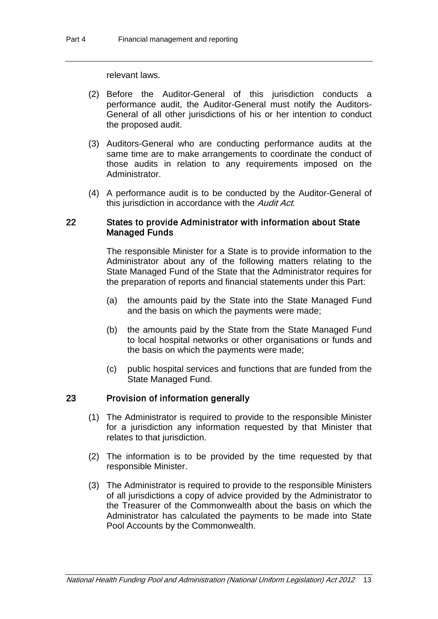relevant laws.

- (2) Before the Auditor-General of this jurisdiction conducts a performance audit, the Auditor-General must notify the Auditors-General of all other jurisdictions of his or her intention to conduct the proposed audit.
- (3) Auditors-General who are conducting performance audits at the same time are to make arrangements to coordinate the conduct of those audits in relation to any requirements imposed on the Administrator.
- (4) A performance audit is to be conducted by the Auditor-General of this jurisdiction in accordance with the Audit Act.

### 22 States to provide Administrator with information about State Managed Funds

The responsible Minister for a State is to provide information to the Administrator about any of the following matters relating to the State Managed Fund of the State that the Administrator requires for the preparation of reports and financial statements under this Part:

- (a) the amounts paid by the State into the State Managed Fund and the basis on which the payments were made;
- (b) the amounts paid by the State from the State Managed Fund to local hospital networks or other organisations or funds and the basis on which the payments were made;
- (c) public hospital services and functions that are funded from the State Managed Fund.

### 23 Provision of information generally

- (1) The Administrator is required to provide to the responsible Minister for a jurisdiction any information requested by that Minister that relates to that jurisdiction.
- (2) The information is to be provided by the time requested by that responsible Minister.
- (3) The Administrator is required to provide to the responsible Ministers of all jurisdictions a copy of advice provided by the Administrator to the Treasurer of the Commonwealth about the basis on which the Administrator has calculated the payments to be made into State Pool Accounts by the Commonwealth.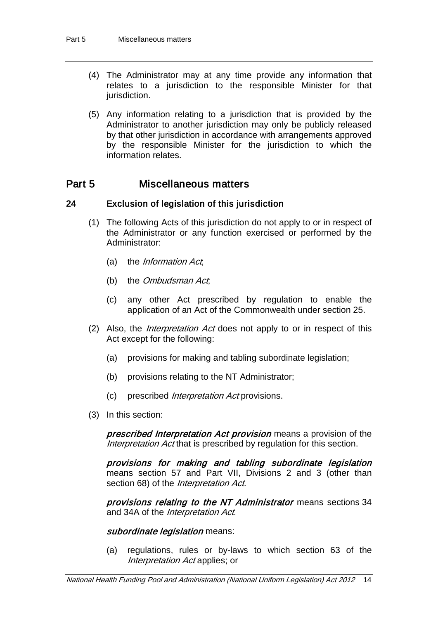- (4) The Administrator may at any time provide any information that relates to a jurisdiction to the responsible Minister for that jurisdiction.
- (5) Any information relating to a jurisdiction that is provided by the Administrator to another jurisdiction may only be publicly released by that other jurisdiction in accordance with arrangements approved by the responsible Minister for the jurisdiction to which the information relates.

## Part 5 Miscellaneous matters

### 24 Exclusion of legislation of this jurisdiction

- (1) The following Acts of this jurisdiction do not apply to or in respect of the Administrator or any function exercised or performed by the Administrator:
	- (a) the Information Act;
	- (b) the *Ombudsman Act*,
	- (c) any other Act prescribed by regulation to enable the application of an Act of the Commonwealth under section 25.
- (2) Also, the *Interpretation Act* does not apply to or in respect of this Act except for the following:
	- (a) provisions for making and tabling subordinate legislation;
	- (b) provisions relating to the NT Administrator;
	- (c) prescribed Interpretation Act provisions.
- (3) In this section:

prescribed Interpretation Act provision means a provision of the Interpretation Act that is prescribed by regulation for this section.

provisions for making and tabling subordinate legislation means section 57 and Part VII, Divisions 2 and 3 (other than section 68) of the *Interpretation Act*.

provisions relating to the NT Administrator means sections 34 and 34A of the *Interpretation Act*.

### subordinate legislation means:

(a) regulations, rules or by-laws to which section 63 of the Interpretation Act applies; or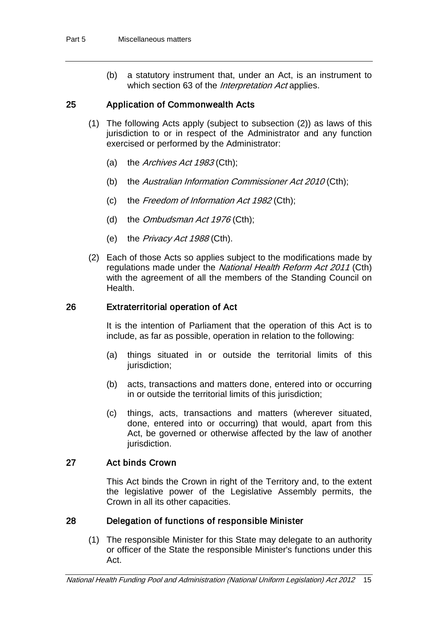(b) a statutory instrument that, under an Act, is an instrument to which section 63 of the *Interpretation Act* applies.

### 25 Application of Commonwealth Acts

- (1) The following Acts apply (subject to subsection (2)) as laws of this jurisdiction to or in respect of the Administrator and any function exercised or performed by the Administrator:
	- (a) the *Archives Act 1983* (Cth);
	- (b) the *Australian Information Commissioner Act 2010* (Cth);
	- (c) the Freedom of Information Act 1982 (Cth);
	- (d) the *Ombudsman Act 1976* (Cth);
	- (e) the *Privacy Act 1988* (Cth).
- (2) Each of those Acts so applies subject to the modifications made by regulations made under the National Health Reform Act 2011 (Cth) with the agreement of all the members of the Standing Council on Health.

#### 26 Extraterritorial operation of Act

It is the intention of Parliament that the operation of this Act is to include, as far as possible, operation in relation to the following:

- (a) things situated in or outside the territorial limits of this jurisdiction;
- (b) acts, transactions and matters done, entered into or occurring in or outside the territorial limits of this jurisdiction;
- (c) things, acts, transactions and matters (wherever situated, done, entered into or occurring) that would, apart from this Act, be governed or otherwise affected by the law of another jurisdiction.

### 27 Act binds Crown

This Act binds the Crown in right of the Territory and, to the extent the legislative power of the Legislative Assembly permits, the Crown in all its other capacities.

#### 28 Delegation of functions of responsible Minister

(1) The responsible Minister for this State may delegate to an authority or officer of the State the responsible Minister's functions under this Act.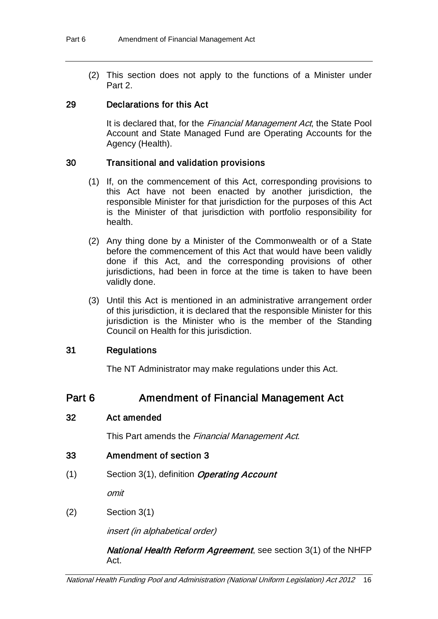(2) This section does not apply to the functions of a Minister under Part 2.

### 29 Declarations for this Act

It is declared that, for the *Financial Management Act*, the State Pool Account and State Managed Fund are Operating Accounts for the Agency (Health).

### 30 Transitional and validation provisions

- (1) If, on the commencement of this Act, corresponding provisions to this Act have not been enacted by another jurisdiction, the responsible Minister for that jurisdiction for the purposes of this Act is the Minister of that jurisdiction with portfolio responsibility for health.
- (2) Any thing done by a Minister of the Commonwealth or of a State before the commencement of this Act that would have been validly done if this Act, and the corresponding provisions of other jurisdictions, had been in force at the time is taken to have been validly done.
- (3) Until this Act is mentioned in an administrative arrangement order of this jurisdiction, it is declared that the responsible Minister for this jurisdiction is the Minister who is the member of the Standing Council on Health for this jurisdiction.

### 31 Regulations

The NT Administrator may make regulations under this Act.

# Part 6 **Amendment of Financial Management Act**

### 32 Act amended

This Part amends the Financial Management Act.

- 33 Amendment of section 3
- $(1)$  Section 3(1), definition *Operating Account*

omit

(2) Section 3(1)

insert (in alphabetical order)

### National Health Reform Agreement, see section 3(1) of the NHFP Act.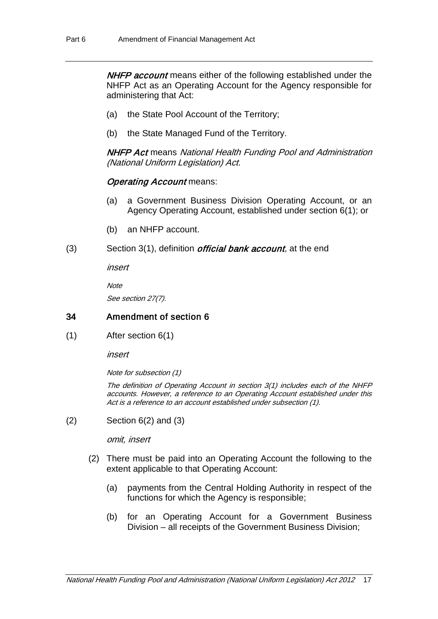**NHFP account** means either of the following established under the NHFP Act as an Operating Account for the Agency responsible for administering that Act:

- (a) the State Pool Account of the Territory;
- (b) the State Managed Fund of the Territory.

NHFP Act means National Health Funding Pool and Administration (National Uniform Legislation) Act.

### **Operating Account means:**

- (a) a Government Business Division Operating Account, or an Agency Operating Account, established under section 6(1); or
- (b) an NHFP account.
- (3) Section 3(1), definition *official bank account*, at the end

insert

**Note** 

See section 27(7).

### 34 Amendment of section 6

(1) After section 6(1)

insert

Note for subsection (1)

The definition of Operating Account in section 3(1) includes each of the NHFP accounts. However, a reference to an Operating Account established under this Act is a reference to an account established under subsection (1).

 $(2)$  Section 6(2) and (3)

omit, insert

- (2) There must be paid into an Operating Account the following to the extent applicable to that Operating Account:
	- (a) payments from the Central Holding Authority in respect of the functions for which the Agency is responsible;
	- (b) for an Operating Account for a Government Business Division – all receipts of the Government Business Division;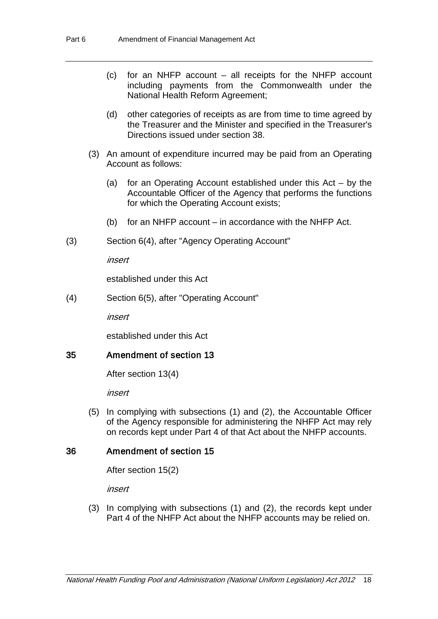- (c) for an NHFP account all receipts for the NHFP account including payments from the Commonwealth under the National Health Reform Agreement;
- (d) other categories of receipts as are from time to time agreed by the Treasurer and the Minister and specified in the Treasurer's Directions issued under section 38.
- (3) An amount of expenditure incurred may be paid from an Operating Account as follows:
	- (a) for an Operating Account established under this Act by the Accountable Officer of the Agency that performs the functions for which the Operating Account exists;
	- (b) for an NHFP account in accordance with the NHFP Act.
- (3) Section 6(4), after "Agency Operating Account"

insert

established under this Act

(4) Section 6(5), after "Operating Account"

insert

established under this Act

### 35 Amendment of section 13

After section 13(4)

insert

(5) In complying with subsections (1) and (2), the Accountable Officer of the Agency responsible for administering the NHFP Act may rely on records kept under Part 4 of that Act about the NHFP accounts.

### 36 Amendment of section 15

After section 15(2)

insert

(3) In complying with subsections (1) and (2), the records kept under Part 4 of the NHFP Act about the NHFP accounts may be relied on.